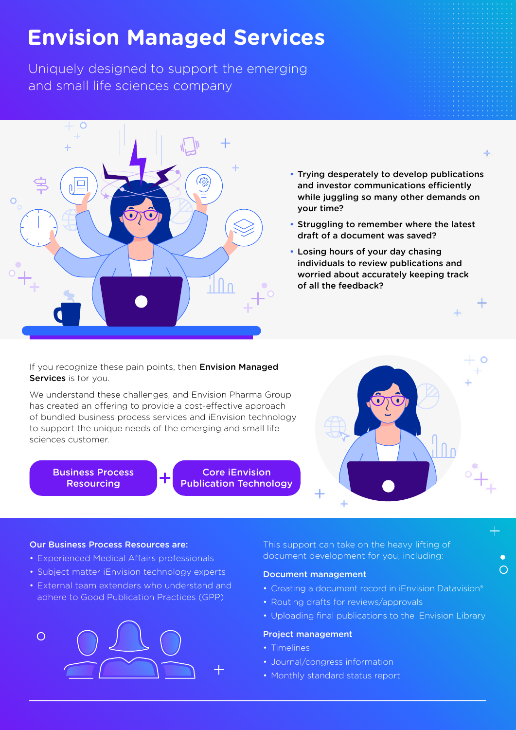# **Envision Managed Services**

Uniquely designed to support the emerging and small life sciences company



• Trying desperately to develop publications and investor communications efficiently while juggling so many other demands on your time?

 $+$ 

工

 $\bigcap$ 

- Struggling to remember where the latest draft of a document was saved?
- Losing hours of your day chasing individuals to review publications and worried about accurately keeping track of all the feedback?

If you recognize these pain points, then **Envision Managed** Services is for you.

We understand these challenges, and Envision Pharma Group has created an offering to provide a cost-effective approach of bundled business process services and iEnvision technology to support the unique needs of the emerging and small life sciences customer.

Business Process Resourcing



#### Our Business Process Resources are:

- Experienced Medical Affairs professionals
- Subject matter iEnvision technology experts
- External team extenders who understand and adhere to Good Publication Practices (GPP)



This support can take on the heavy lifting of document development for you, including:

### Document management

- Creating a document record in iEnvision Datavision®
- Routing drafts for reviews/approvals
- Uploading final publications to the iEnvision Library

## Project management

• Timelines

Core iEnvision Publication Technology

- Journal/congress information
- Monthly standard status report